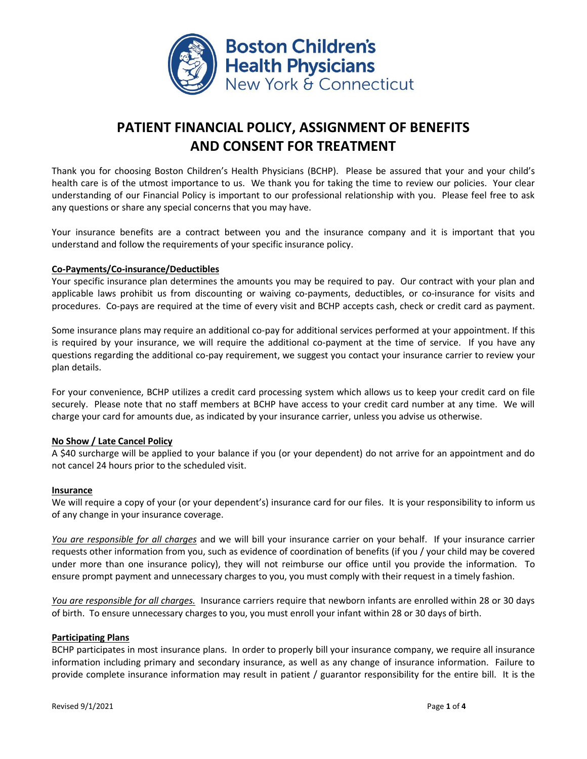

# **PATIENT FINANCIAL POLICY, ASSIGNMENT OF BENEFITS AND CONSENT FOR TREATMENT**

Thank you for choosing Boston Children's Health Physicians (BCHP). Please be assured that your and your child's health care is of the utmost importance to us. We thank you for taking the time to review our policies. Your clear understanding of our Financial Policy is important to our professional relationship with you. Please feel free to ask any questions or share any special concerns that you may have.

Your insurance benefits are a contract between you and the insurance company and it is important that you understand and follow the requirements of your specific insurance policy.

# **Co-Payments/Co-insurance/Deductibles**

Your specific insurance plan determines the amounts you may be required to pay. Our contract with your plan and applicable laws prohibit us from discounting or waiving co-payments, deductibles, or co-insurance for visits and procedures. Co-pays are required at the time of every visit and BCHP accepts cash, check or credit card as payment.

Some insurance plans may require an additional co-pay for additional services performed at your appointment. If this is required by your insurance, we will require the additional co-payment at the time of service. If you have any questions regarding the additional co-pay requirement, we suggest you contact your insurance carrier to review your plan details.

For your convenience, BCHP utilizes a credit card processing system which allows us to keep your credit card on file securely. Please note that no staff members at BCHP have access to your credit card number at any time. We will charge your card for amounts due, as indicated by your insurance carrier, unless you advise us otherwise.

#### **No Show / Late Cancel Policy**

A \$40 surcharge will be applied to your balance if you (or your dependent) do not arrive for an appointment and do not cancel 24 hours prior to the scheduled visit.

#### **Insurance**

We will require a copy of your (or your dependent's) insurance card for our files. It is your responsibility to inform us of any change in your insurance coverage.

*You are responsible for all charges* and we will bill your insurance carrier on your behalf. If your insurance carrier requests other information from you, such as evidence of coordination of benefits (if you / your child may be covered under more than one insurance policy), they will not reimburse our office until you provide the information. To ensure prompt payment and unnecessary charges to you, you must comply with their request in a timely fashion.

*You are responsible for all charges.* Insurance carriers require that newborn infants are enrolled within 28 or 30 days of birth. To ensure unnecessary charges to you, you must enroll your infant within 28 or 30 days of birth.

#### **Participating Plans**

BCHP participates in most insurance plans. In order to properly bill your insurance company, we require all insurance information including primary and secondary insurance, as well as any change of insurance information. Failure to provide complete insurance information may result in patient / guarantor responsibility for the entire bill. It is the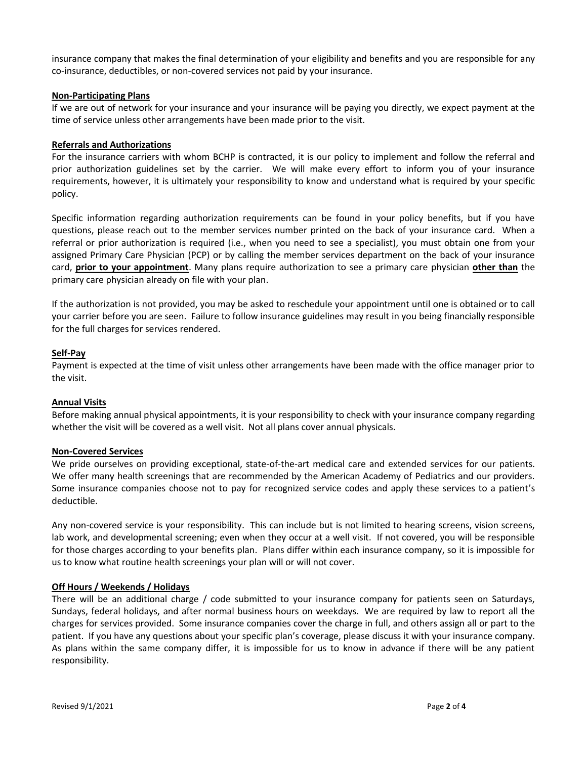insurance company that makes the final determination of your eligibility and benefits and you are responsible for any co-insurance, deductibles, or non-covered services not paid by your insurance.

#### **Non-Participating Plans**

If we are out of network for your insurance and your insurance will be paying you directly, we expect payment at the time of service unless other arrangements have been made prior to the visit.

#### **Referrals and Authorizations**

For the insurance carriers with whom BCHP is contracted, it is our policy to implement and follow the referral and prior authorization guidelines set by the carrier. We will make every effort to inform you of your insurance requirements, however, it is ultimately your responsibility to know and understand what is required by your specific policy.

Specific information regarding authorization requirements can be found in your policy benefits, but if you have questions, please reach out to the member services number printed on the back of your insurance card. When a referral or prior authorization is required (i.e., when you need to see a specialist), you must obtain one from your assigned Primary Care Physician (PCP) or by calling the member services department on the back of your insurance card, **prior to your appointment**. Many plans require authorization to see a primary care physician **other than** the primary care physician already on file with your plan.

If the authorization is not provided, you may be asked to reschedule your appointment until one is obtained or to call your carrier before you are seen. Failure to follow insurance guidelines may result in you being financially responsible for the full charges for services rendered.

#### **Self-Pay**

Payment is expected at the time of visit unless other arrangements have been made with the office manager prior to the visit.

#### **Annual Visits**

Before making annual physical appointments, it is your responsibility to check with your insurance company regarding whether the visit will be covered as a well visit. Not all plans cover annual physicals.

#### **Non-Covered Services**

We pride ourselves on providing exceptional, state-of-the-art medical care and extended services for our patients. We offer many health screenings that are recommended by the American Academy of Pediatrics and our providers. Some insurance companies choose not to pay for recognized service codes and apply these services to a patient's deductible.

Any non-covered service is your responsibility. This can include but is not limited to hearing screens, vision screens, lab work, and developmental screening; even when they occur at a well visit. If not covered, you will be responsible for those charges according to your benefits plan. Plans differ within each insurance company, so it is impossible for us to know what routine health screenings your plan will or will not cover.

#### **Off Hours / Weekends / Holidays**

There will be an additional charge / code submitted to your insurance company for patients seen on Saturdays, Sundays, federal holidays, and after normal business hours on weekdays. We are required by law to report all the charges for services provided. Some insurance companies cover the charge in full, and others assign all or part to the patient. If you have any questions about your specific plan's coverage, please discuss it with your insurance company. As plans within the same company differ, it is impossible for us to know in advance if there will be any patient responsibility.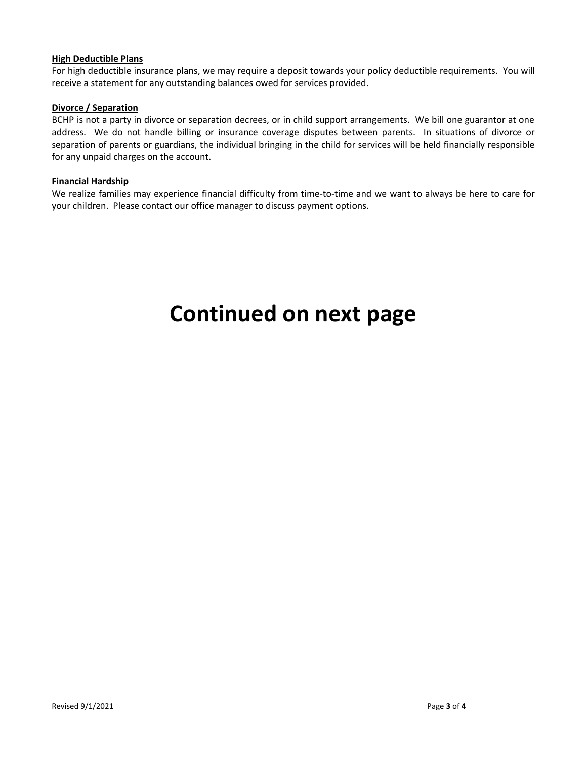#### **High Deductible Plans**

For high deductible insurance plans, we may require a deposit towards your policy deductible requirements. You will receive a statement for any outstanding balances owed for services provided.

# **Divorce / Separation**

BCHP is not a party in divorce or separation decrees, or in child support arrangements. We bill one guarantor at one address. We do not handle billing or insurance coverage disputes between parents. In situations of divorce or separation of parents or guardians, the individual bringing in the child for services will be held financially responsible for any unpaid charges on the account.

#### **Financial Hardship**

We realize families may experience financial difficulty from time-to-time and we want to always be here to care for your children. Please contact our office manager to discuss payment options.

# **Continued on next page**